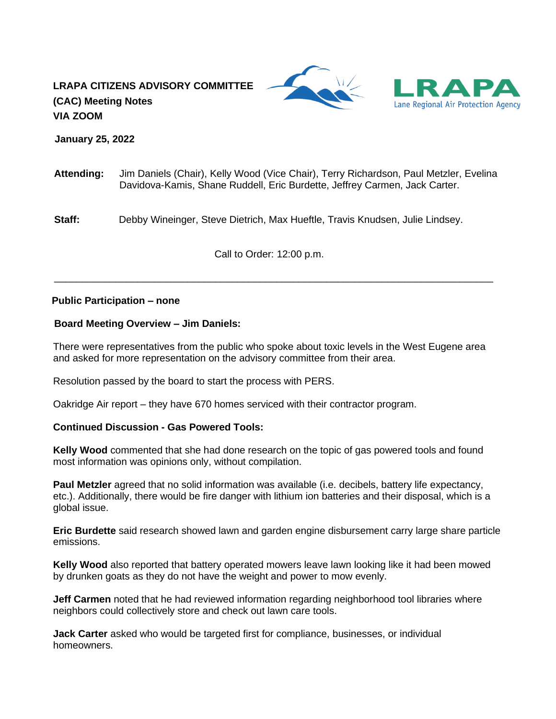# **LRAPA CITIZENS ADVISORY COMMITTEE (CAC) Meeting Notes VIA ZOOM**





 **January 25, 2022**

**Attending:** Jim Daniels (Chair), Kelly Wood (Vice Chair), Terry Richardson, Paul Metzler, Evelina Davidova-Kamis, Shane Ruddell, Eric Burdette, Jeffrey Carmen, Jack Carter.

**Staff:** Debby Wineinger, Steve Dietrich, Max Hueftle, Travis Knudsen, Julie Lindsey.

Call to Order: 12:00 p.m.

\_\_\_\_\_\_\_\_\_\_\_\_\_\_\_\_\_\_\_\_\_\_\_\_\_\_\_\_\_\_\_\_\_\_\_\_\_\_\_\_\_\_\_\_\_\_\_\_\_\_\_\_\_\_\_\_\_\_\_\_\_\_\_\_\_\_\_\_\_\_\_\_\_\_\_\_\_\_\_

# **Public Participation – none**

# **Board Meeting Overview – Jim Daniels:**

There were representatives from the public who spoke about toxic levels in the West Eugene area and asked for more representation on the advisory committee from their area.

Resolution passed by the board to start the process with PERS.

Oakridge Air report – they have 670 homes serviced with their contractor program.

# **Continued Discussion - Gas Powered Tools:**

**Kelly Wood** commented that she had done research on the topic of gas powered tools and found most information was opinions only, without compilation.

**Paul Metzler** agreed that no solid information was available (i.e. decibels, battery life expectancy, etc.). Additionally, there would be fire danger with lithium ion batteries and their disposal, which is a global issue.

**Eric Burdette** said research showed lawn and garden engine disbursement carry large share particle emissions.

**Kelly Wood** also reported that battery operated mowers leave lawn looking like it had been mowed by drunken goats as they do not have the weight and power to mow evenly.

**Jeff Carmen** noted that he had reviewed information regarding neighborhood tool libraries where neighbors could collectively store and check out lawn care tools.

**Jack Carter** asked who would be targeted first for compliance, businesses, or individual homeowners.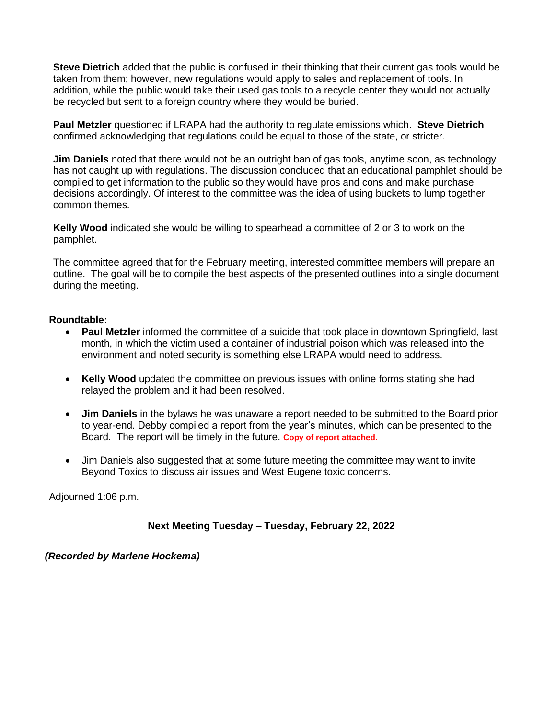**Steve Dietrich** added that the public is confused in their thinking that their current gas tools would be taken from them; however, new regulations would apply to sales and replacement of tools. In addition, while the public would take their used gas tools to a recycle center they would not actually be recycled but sent to a foreign country where they would be buried.

**Paul Metzler** questioned if LRAPA had the authority to regulate emissions which. **Steve Dietrich** confirmed acknowledging that regulations could be equal to those of the state, or stricter.

**Jim Daniels** noted that there would not be an outright ban of gas tools, anytime soon, as technology has not caught up with regulations. The discussion concluded that an educational pamphlet should be compiled to get information to the public so they would have pros and cons and make purchase decisions accordingly. Of interest to the committee was the idea of using buckets to lump together common themes.

**Kelly Wood** indicated she would be willing to spearhead a committee of 2 or 3 to work on the pamphlet.

The committee agreed that for the February meeting, interested committee members will prepare an outline. The goal will be to compile the best aspects of the presented outlines into a single document during the meeting.

## **Roundtable:**

- **Paul Metzler** informed the committee of a suicide that took place in downtown Springfield, last month, in which the victim used a container of industrial poison which was released into the environment and noted security is something else LRAPA would need to address.
- **Kelly Wood** updated the committee on previous issues with online forms stating she had relayed the problem and it had been resolved.
- **Jim Daniels** in the bylaws he was unaware a report needed to be submitted to the Board prior to year-end. Debby compiled a report from the year's minutes, which can be presented to the Board. The report will be timely in the future. **Copy of report attached.**
- Jim Daniels also suggested that at some future meeting the committee may want to invite Beyond Toxics to discuss air issues and West Eugene toxic concerns.

Adjourned 1:06 p.m.

 **Next Meeting Tuesday – Tuesday, February 22, 2022**

*(Recorded by Marlene Hockema)*